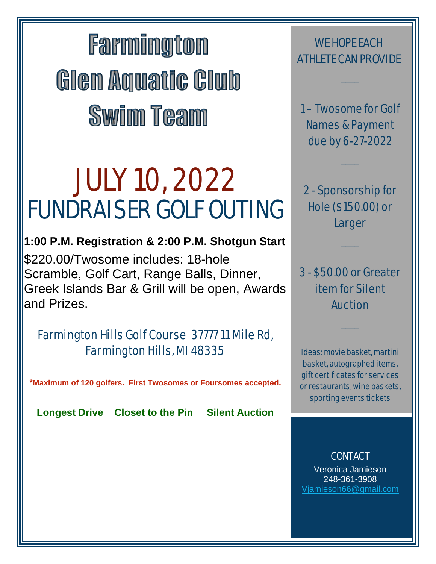**Farmington Glen Aquatic Club Swim Team** 

# JULY 10, 2022 FUNDRAISER GOLF OUTING

#### **1:00 P.M. Registration & 2:00 P.M. Shotgun Start**

\$220.00/Twosome includes: 18-hole Scramble, Golf Cart, Range Balls, Dinner, Greek Islands Bar & Grill will be open, Awards and Prizes.

### Farmington Hills Golf Course 37777 11 Mile Rd, Farmington Hills, MI 48335

**\*Maximum of 120 golfers. First Twosomes or Foursomes accepted.**

**Longest Drive Closet to the Pin Silent Auction** 

### WE HOPE EACH ATHLETE CAN PROVIDE

 $\overline{\phantom{a}}$ 

1 – Twosome for Golf Names & Payment due by 6-27-2022

 $\overline{\phantom{a}}$ 

2 - Sponsorship for Hole (\$150.00) or Larger

 $\overline{\phantom{a}}$ 

### 3 - \$50.00 or Greater item for Silent Auction

 $\overline{\phantom{a}}$ 

Ideas: movie basket, martini basket, autographed items, gift certificates for services or restaurants, wine baskets, sporting events tickets

#### CONTACT

Veronica Jamieson 248-361-3908 [Vjamieson66@gmail.com](mailto:Vjamieson66@gmail.com)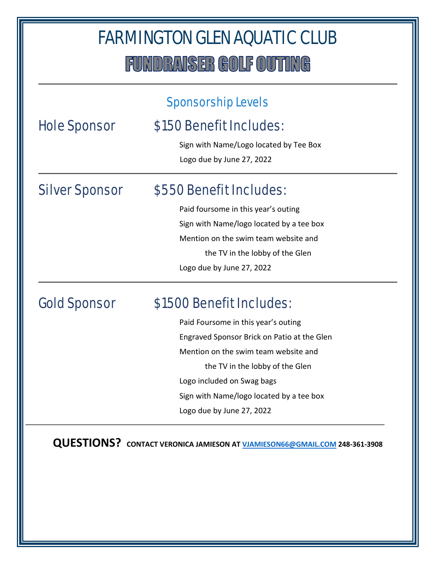## FARMINGTON GLEN AQUATIC CLUB **FUNDRAISER GOLF OUTING**

### Sponsorship Levels

### Hole Sponsor \$150 Benefit Includes:

Sign with Name/Logo located by Tee Box Logo due by June 27, 2022

## Silver Sponsor \$550 Benefit Includes:

Paid foursome in this year's outing Sign with Name/logo located by a tee box Mention on the swim team website and the TV in the lobby of the Glen Logo due by June 27, 2022

 $\overline{a}$ 

### Gold Sponsor \$1500 Benefit Includes:

Paid Foursome in this year's outing Engraved Sponsor Brick on Patio at the Glen Mention on the swim team website and the TV in the lobby of the Glen Logo included on Swag bags Sign with Name/logo located by a tee box Logo due by June 27, 2022

**QUESTIONS? CONTACT VERONICA JAMIESON AT [VJAMIESON66@GMAIL.COM](mailto:VJAMIESON66@GMAIL.COM) 248-361-3908**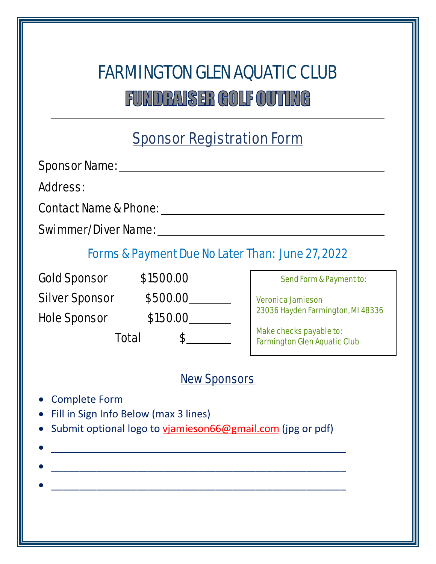## FARMINGTON GLEN AQUATIC CLUB **FUNDRAISER GOLF OUTING**

## **Sponsor Registration Form**

Sponsor Name:

Address:

Contact Name & Phone:

Swimmer/Diver Name:

Forms & Payment Due No Later Than: June 27, 2022

| <b>Gold Sponsor</b>   | \$1500.00 | <b>Send Form &amp; Payment to:</b>                                    |  |
|-----------------------|-----------|-----------------------------------------------------------------------|--|
| <b>Silver Sponsor</b> | \$500.00  | <b>Veronica Jamieson</b>                                              |  |
| <b>Hole Sponsor</b>   | \$150.00  | 23036 Hayden Farmington, MI 48336                                     |  |
|                       | Total     | <b>Make checks payable to:</b><br><b>Farmington Glen Aquatic Club</b> |  |

#### New Sponsors

- Complete Form
- Fill in Sign Info Below (max 3 lines)
- Submit optional logo to [vjamieson66@gmail.com](mailto:vjamieson66@gmail.com) (jpg or pdf)

 $\bullet$  , the contribution of the contribution of the contribution of the contribution of the contribution of the contribution of the contribution of the contribution of the contribution of the contribution of the contributi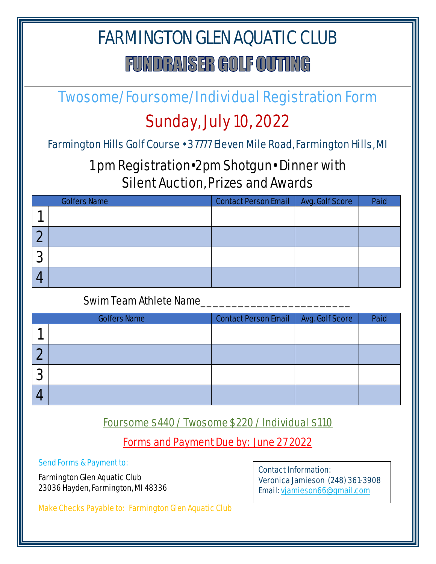## FARMINGTON GLEN AQUATIC CLUB

## **FUNDRAISER GOLF OUTING**

## Twosome/Foursome/Individual Registration Form

## Sunday, July 10, 2022

Farmington Hills Golf Course • 37777 Eleven Mile Road, Farmington Hills, MI

## 1 pm Registration•2pm Shotgun• Dinner with Silent Auction, Prizes and Awards

|          | <b>Golfers Name</b> | <b>Contact Person Email</b> | <b>Avg. Golf Score</b> | Paid |
|----------|---------------------|-----------------------------|------------------------|------|
|          |                     |                             |                        |      |
| <b>S</b> |                     |                             |                        |      |
| 2<br>-2  |                     |                             |                        |      |
| Æ        |                     |                             |                        |      |

#### Swim Team Athlete Name\_\_\_

| <b>Golfers Name</b> |  | <b>Contact Person Email</b> | <b>Avg. Golf Score</b> | Paid |
|---------------------|--|-----------------------------|------------------------|------|
|                     |  |                             |                        |      |
| <b>CO</b>           |  |                             |                        |      |
| 2<br>J.             |  |                             |                        |      |
|                     |  |                             |                        |      |

Foursome \$440 / Twosome \$220 / Individual \$110

Forms and Payment Due by: June 27 2022

Send Forms & Payment to:

Farmington Glen Aquatic Club 23036 Hayden, Farmington, MI 48336

Contact Information: Veronica Jamieson (248) 361-3908 Email: [vjamieson66@gmail.com](mailto:vjamieson66@gmail.com)

Make Checks Payable to: Farmington Glen Aquatic Club